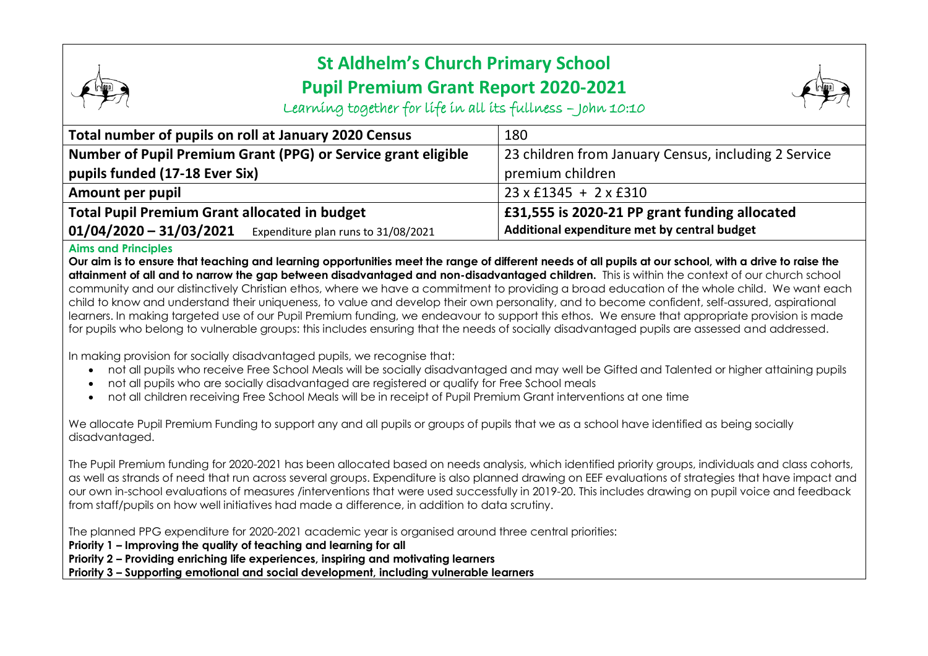## **St Aldhelm's Church Primary School Pupil Premium Grant Report 2020-2021**



Learning together for life in all its fullness – John 10:10

| Total number of pupils on roll at January 2020 Census            | 180                                                  |
|------------------------------------------------------------------|------------------------------------------------------|
| Number of Pupil Premium Grant (PPG) or Service grant eligible    | 23 children from January Census, including 2 Service |
| pupils funded (17-18 Ever Six)                                   | premium children                                     |
| Amount per pupil                                                 | $23 \times$ £1345 + 2 $\times$ £310                  |
| <b>Total Pupil Premium Grant allocated in budget</b>             | £31,555 is 2020-21 PP grant funding allocated        |
| $01/04/2020 - 31/03/2021$<br>Expenditure plan runs to 31/08/2021 | Additional expenditure met by central budget         |

## **Aims and Principles**

**Our aim is to ensure that teaching and learning opportunities meet the range of different needs of all pupils at our school, with a drive to raise the attainment of all and to narrow the gap between disadvantaged and non-disadvantaged children.** This is within the context of our church school community and our distinctively Christian ethos, where we have a commitment to providing a broad education of the whole child. We want each child to know and understand their uniqueness, to value and develop their own personality, and to become confident, self-assured, aspirational learners. In making targeted use of our Pupil Premium funding, we endeavour to support this ethos. We ensure that appropriate provision is made for pupils who belong to vulnerable groups: this includes ensuring that the needs of socially disadvantaged pupils are assessed and addressed.

In making provision for socially disadvantaged pupils, we recognise that:

- not all pupils who receive Free School Meals will be socially disadvantaged and may well be Gifted and Talented or higher attaining pupils
- not all pupils who are socially disadvantaged are registered or qualify for Free School meals
- not all children receiving Free School Meals will be in receipt of Pupil Premium Grant interventions at one time

We allocate Pupil Premium Funding to support any and all pupils or groups of pupils that we as a school have identified as being socially disadvantaged.

The Pupil Premium funding for 2020-2021 has been allocated based on needs analysis, which identified priority groups, individuals and class cohorts, as well as strands of need that run across several groups. Expenditure is also planned drawing on EEF evaluations of strategies that have impact and our own in-school evaluations of measures /interventions that were used successfully in 2019-20. This includes drawing on pupil voice and feedback from staff/pupils on how well initiatives had made a difference, in addition to data scrutiny.

The planned PPG expenditure for 2020-2021 academic year is organised around three central priorities:

**Priority 1 – Improving the quality of teaching and learning for all**

**Priority 2 – Providing enriching life experiences, inspiring and motivating learners**

**Priority 3 – Supporting emotional and social development, including vulnerable learners**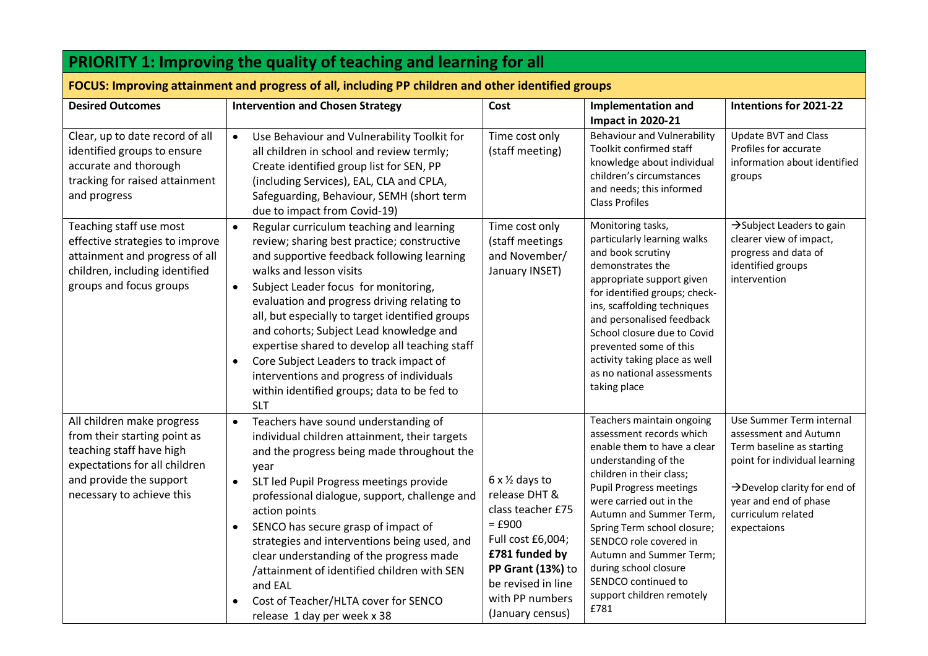| <b>PRIORITY 1: Improving the quality of teaching and learning for all</b>                                                                                                       |                                                                                                                                                                                                                                                                                                                                                                                                                                                                                                                                                                                                     |                                                                                                                                                                                                           |                                                                                                                                                                                                                                                                                                                                                                                                           |                                                                                                                                                                                                                           |
|---------------------------------------------------------------------------------------------------------------------------------------------------------------------------------|-----------------------------------------------------------------------------------------------------------------------------------------------------------------------------------------------------------------------------------------------------------------------------------------------------------------------------------------------------------------------------------------------------------------------------------------------------------------------------------------------------------------------------------------------------------------------------------------------------|-----------------------------------------------------------------------------------------------------------------------------------------------------------------------------------------------------------|-----------------------------------------------------------------------------------------------------------------------------------------------------------------------------------------------------------------------------------------------------------------------------------------------------------------------------------------------------------------------------------------------------------|---------------------------------------------------------------------------------------------------------------------------------------------------------------------------------------------------------------------------|
| FOCUS: Improving attainment and progress of all, including PP children and other identified groups                                                                              |                                                                                                                                                                                                                                                                                                                                                                                                                                                                                                                                                                                                     |                                                                                                                                                                                                           |                                                                                                                                                                                                                                                                                                                                                                                                           |                                                                                                                                                                                                                           |
| <b>Desired Outcomes</b>                                                                                                                                                         | <b>Intervention and Chosen Strategy</b>                                                                                                                                                                                                                                                                                                                                                                                                                                                                                                                                                             | Cost                                                                                                                                                                                                      | <b>Implementation and</b><br><b>Impact in 2020-21</b>                                                                                                                                                                                                                                                                                                                                                     | Intentions for 2021-22                                                                                                                                                                                                    |
| Clear, up to date record of all<br>identified groups to ensure<br>accurate and thorough<br>tracking for raised attainment<br>and progress                                       | Use Behaviour and Vulnerability Toolkit for<br>$\bullet$<br>all children in school and review termly;<br>Create identified group list for SEN, PP<br>(including Services), EAL, CLA and CPLA,<br>Safeguarding, Behaviour, SEMH (short term<br>due to impact from Covid-19)                                                                                                                                                                                                                                                                                                                          | Time cost only<br>(staff meeting)                                                                                                                                                                         | <b>Behaviour and Vulnerability</b><br>Toolkit confirmed staff<br>knowledge about individual<br>children's circumstances<br>and needs; this informed<br><b>Class Profiles</b>                                                                                                                                                                                                                              | <b>Update BVT and Class</b><br>Profiles for accurate<br>information about identified<br>groups                                                                                                                            |
| Teaching staff use most<br>effective strategies to improve<br>attainment and progress of all<br>children, including identified<br>groups and focus groups                       | Regular curriculum teaching and learning<br>$\bullet$<br>review; sharing best practice; constructive<br>and supportive feedback following learning<br>walks and lesson visits<br>Subject Leader focus for monitoring,<br>$\bullet$<br>evaluation and progress driving relating to<br>all, but especially to target identified groups<br>and cohorts; Subject Lead knowledge and<br>expertise shared to develop all teaching staff<br>Core Subject Leaders to track impact of<br>$\bullet$<br>interventions and progress of individuals<br>within identified groups; data to be fed to<br><b>SLT</b> | Time cost only<br>(staff meetings<br>and November/<br>January INSET)                                                                                                                                      | Monitoring tasks,<br>particularly learning walks<br>and book scrutiny<br>demonstrates the<br>appropriate support given<br>for identified groups; check-<br>ins, scaffolding techniques<br>and personalised feedback<br>School closure due to Covid<br>prevented some of this<br>activity taking place as well<br>as no national assessments<br>taking place                                               | $\rightarrow$ Subject Leaders to gain<br>clearer view of impact,<br>progress and data of<br>identified groups<br>intervention                                                                                             |
| All children make progress<br>from their starting point as<br>teaching staff have high<br>expectations for all children<br>and provide the support<br>necessary to achieve this | Teachers have sound understanding of<br>$\bullet$<br>individual children attainment, their targets<br>and the progress being made throughout the<br>year<br>SLT led Pupil Progress meetings provide<br>$\bullet$<br>professional dialogue, support, challenge and<br>action points<br>SENCO has secure grasp of impact of<br>$\bullet$<br>strategies and interventions being used, and<br>clear understanding of the progress made<br>/attainment of identified children with SEN<br>and EAL<br>Cost of Teacher/HLTA cover for SENCO<br>$\bullet$<br>release 1 day per week x 38                    | $6 \times \frac{1}{2}$ days to<br>release DHT &<br>class teacher £75<br>$=$ £900<br>Full cost £6,004;<br>£781 funded by<br>PP Grant (13%) to<br>be revised in line<br>with PP numbers<br>(January census) | Teachers maintain ongoing<br>assessment records which<br>enable them to have a clear<br>understanding of the<br>children in their class;<br><b>Pupil Progress meetings</b><br>were carried out in the<br>Autumn and Summer Term,<br>Spring Term school closure;<br>SENDCO role covered in<br>Autumn and Summer Term;<br>during school closure<br>SENDCO continued to<br>support children remotely<br>£781 | Use Summer Term internal<br>assessment and Autumn<br>Term baseline as starting<br>point for individual learning<br>$\rightarrow$ Develop clarity for end of<br>year and end of phase<br>curriculum related<br>expectaions |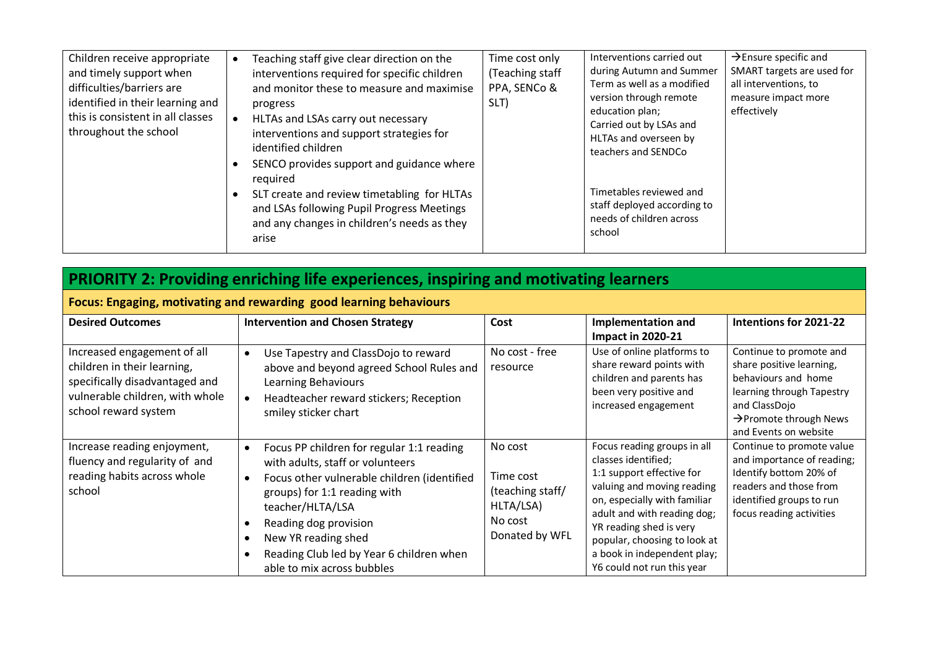| Children receive appropriate<br>and timely support when<br>difficulties/barriers are<br>identified in their learning and<br>this is consistent in all classes<br>throughout the school | Teaching staff give clear direction on the<br>interventions required for specific children<br>and monitor these to measure and maximise<br>progress<br>HLTAs and LSAs carry out necessary<br>interventions and support strategies for<br>identified children<br>SENCO provides support and guidance where<br>required<br>SLT create and review timetabling for HLTAs<br>and LSAs following Pupil Progress Meetings<br>and any changes in children's needs as they<br>arise | Time cost only<br>(Teaching staff<br>PPA, SENCo &<br>SLT) | Interventions carried out<br>during Autumn and Summer<br>Term as well as a modified<br>version through remote<br>education plan;<br>Carried out by LSAs and<br>HLTAs and overseen by<br>teachers and SENDCo<br>Timetables reviewed and<br>staff deployed according to<br>needs of children across<br>school | $\rightarrow$ Ensure specific and<br>SMART targets are used for<br>all interventions, to<br>measure impact more<br>effectively |
|----------------------------------------------------------------------------------------------------------------------------------------------------------------------------------------|----------------------------------------------------------------------------------------------------------------------------------------------------------------------------------------------------------------------------------------------------------------------------------------------------------------------------------------------------------------------------------------------------------------------------------------------------------------------------|-----------------------------------------------------------|-------------------------------------------------------------------------------------------------------------------------------------------------------------------------------------------------------------------------------------------------------------------------------------------------------------|--------------------------------------------------------------------------------------------------------------------------------|
|----------------------------------------------------------------------------------------------------------------------------------------------------------------------------------------|----------------------------------------------------------------------------------------------------------------------------------------------------------------------------------------------------------------------------------------------------------------------------------------------------------------------------------------------------------------------------------------------------------------------------------------------------------------------------|-----------------------------------------------------------|-------------------------------------------------------------------------------------------------------------------------------------------------------------------------------------------------------------------------------------------------------------------------------------------------------------|--------------------------------------------------------------------------------------------------------------------------------|

## **PRIORITY 2: Providing enriching life experiences, inspiring and motivating learners**

| Focus: Engaging, motivating and rewarding good learning behaviours                                                                                      |                                                                                                                                                                                                                                                                                                                                                                             |                                                                                    |                                                                                                                                                                                                                                                                                                      |                                                                                                                                                                                         |
|---------------------------------------------------------------------------------------------------------------------------------------------------------|-----------------------------------------------------------------------------------------------------------------------------------------------------------------------------------------------------------------------------------------------------------------------------------------------------------------------------------------------------------------------------|------------------------------------------------------------------------------------|------------------------------------------------------------------------------------------------------------------------------------------------------------------------------------------------------------------------------------------------------------------------------------------------------|-----------------------------------------------------------------------------------------------------------------------------------------------------------------------------------------|
| <b>Desired Outcomes</b>                                                                                                                                 | <b>Intervention and Chosen Strategy</b>                                                                                                                                                                                                                                                                                                                                     | Cost                                                                               | <b>Implementation and</b><br><b>Impact in 2020-21</b>                                                                                                                                                                                                                                                | Intentions for 2021-22                                                                                                                                                                  |
| Increased engagement of all<br>children in their learning,<br>specifically disadvantaged and<br>vulnerable children, with whole<br>school reward system | Use Tapestry and ClassDojo to reward<br>$\bullet$<br>above and beyond agreed School Rules and<br>Learning Behaviours<br>Headteacher reward stickers; Reception<br>$\bullet$<br>smiley sticker chart                                                                                                                                                                         | No cost - free<br>resource                                                         | Use of online platforms to<br>share reward points with<br>children and parents has<br>been very positive and<br>increased engagement                                                                                                                                                                 | Continue to promote and<br>share positive learning,<br>behaviours and home<br>learning through Tapestry<br>and ClassDojo<br>$\rightarrow$ Promote through News<br>and Events on website |
| Increase reading enjoyment,<br>fluency and regularity of and<br>reading habits across whole<br>school                                                   | Focus PP children for regular 1:1 reading<br>$\bullet$<br>with adults, staff or volunteers<br>Focus other vulnerable children (identified<br>$\bullet$<br>groups) for 1:1 reading with<br>teacher/HLTA/LSA<br>Reading dog provision<br>$\bullet$<br>New YR reading shed<br>$\bullet$<br>Reading Club led by Year 6 children when<br>$\bullet$<br>able to mix across bubbles | No cost<br>Time cost<br>(teaching staff/<br>HLTA/LSA)<br>No cost<br>Donated by WFL | Focus reading groups in all<br>classes identified;<br>1:1 support effective for<br>valuing and moving reading<br>on, especially with familiar<br>adult and with reading dog;<br>YR reading shed is very<br>popular, choosing to look at<br>a book in independent play;<br>Y6 could not run this year | Continue to promote value<br>and importance of reading;<br>Identify bottom 20% of<br>readers and those from<br>identified groups to run<br>focus reading activities                     |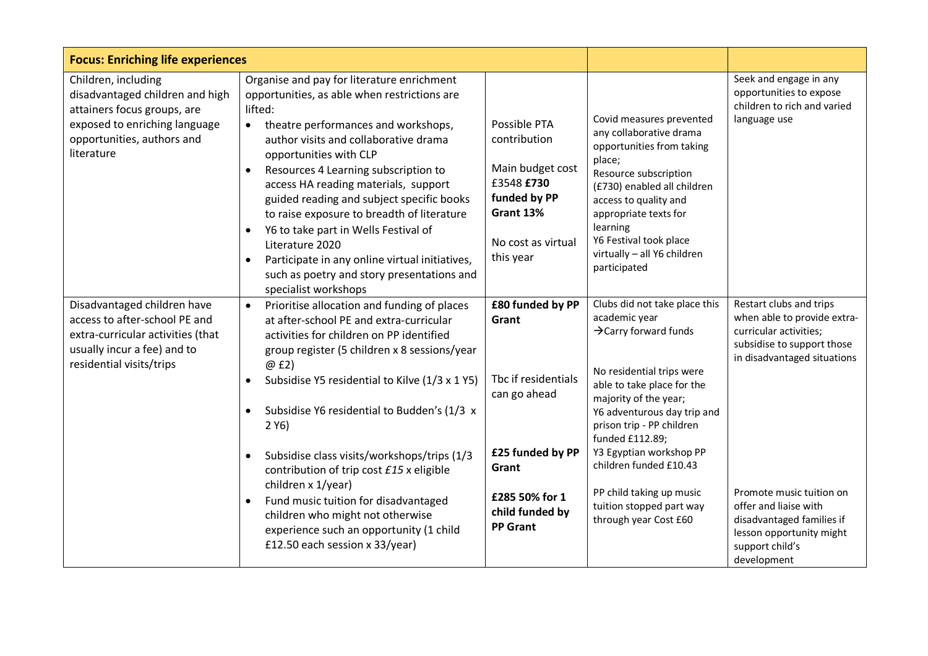| <b>Focus: Enriching life experiences</b>                                                                                                                           |                                                                                                                                                                                                                                                                                                                                                                                                                                                                                                                                                                                                                                                 |                                                                                                                                                       |                                                                                                                                                                                                                                                                                                                                                                                              |                                                                                                                                                                                                                                                                                               |
|--------------------------------------------------------------------------------------------------------------------------------------------------------------------|-------------------------------------------------------------------------------------------------------------------------------------------------------------------------------------------------------------------------------------------------------------------------------------------------------------------------------------------------------------------------------------------------------------------------------------------------------------------------------------------------------------------------------------------------------------------------------------------------------------------------------------------------|-------------------------------------------------------------------------------------------------------------------------------------------------------|----------------------------------------------------------------------------------------------------------------------------------------------------------------------------------------------------------------------------------------------------------------------------------------------------------------------------------------------------------------------------------------------|-----------------------------------------------------------------------------------------------------------------------------------------------------------------------------------------------------------------------------------------------------------------------------------------------|
| Children, including<br>disadvantaged children and high<br>attainers focus groups, are<br>exposed to enriching language<br>opportunities, authors and<br>literature | Organise and pay for literature enrichment<br>opportunities, as able when restrictions are<br>lifted:<br>theatre performances and workshops,<br>$\bullet$<br>author visits and collaborative drama<br>opportunities with CLP<br>Resources 4 Learning subscription to<br>$\bullet$<br>access HA reading materials, support<br>guided reading and subject specific books<br>to raise exposure to breadth of literature<br>Y6 to take part in Wells Festival of<br>$\bullet$<br>Literature 2020<br>Participate in any online virtual initiatives,<br>$\bullet$<br>such as poetry and story presentations and<br>specialist workshops               | Possible PTA<br>contribution<br>Main budget cost<br>£3548 £730<br>funded by PP<br>Grant 13%<br>No cost as virtual<br>this year                        | Covid measures prevented<br>any collaborative drama<br>opportunities from taking<br>place;<br>Resource subscription<br>(£730) enabled all children<br>access to quality and<br>appropriate texts for<br>learning<br>Y6 Festival took place<br>virtually - all Y6 children<br>participated                                                                                                    | Seek and engage in any<br>opportunities to expose<br>children to rich and varied<br>language use                                                                                                                                                                                              |
| Disadvantaged children have<br>access to after-school PE and<br>extra-curricular activities (that<br>usually incur a fee) and to<br>residential visits/trips       | Prioritise allocation and funding of places<br>$\bullet$<br>at after-school PE and extra-curricular<br>activities for children on PP identified<br>group register (5 children x 8 sessions/year<br>@ £2)<br>Subsidise Y5 residential to Kilve (1/3 x 1 Y5)<br>$\bullet$<br>Subsidise Y6 residential to Budden's (1/3 x<br>$\bullet$<br>2 Y6<br>Subsidise class visits/workshops/trips (1/3<br>$\bullet$<br>contribution of trip cost £15 x eligible<br>children x 1/year)<br>Fund music tuition for disadvantaged<br>$\bullet$<br>children who might not otherwise<br>experience such an opportunity (1 child<br>£12.50 each session x 33/year) | £80 funded by PP<br>Grant<br>Tbc if residentials<br>can go ahead<br>£25 funded by PP<br>Grant<br>£285 50% for 1<br>child funded by<br><b>PP Grant</b> | Clubs did not take place this<br>academic year<br>$\rightarrow$ Carry forward funds<br>No residential trips were<br>able to take place for the<br>majority of the year;<br>Y6 adventurous day trip and<br>prison trip - PP children<br>funded £112.89;<br>Y3 Egyptian workshop PP<br>children funded £10.43<br>PP child taking up music<br>tuition stopped part way<br>through year Cost £60 | Restart clubs and trips<br>when able to provide extra-<br>curricular activities;<br>subsidise to support those<br>in disadvantaged situations<br>Promote music tuition on<br>offer and liaise with<br>disadvantaged families if<br>lesson opportunity might<br>support child's<br>development |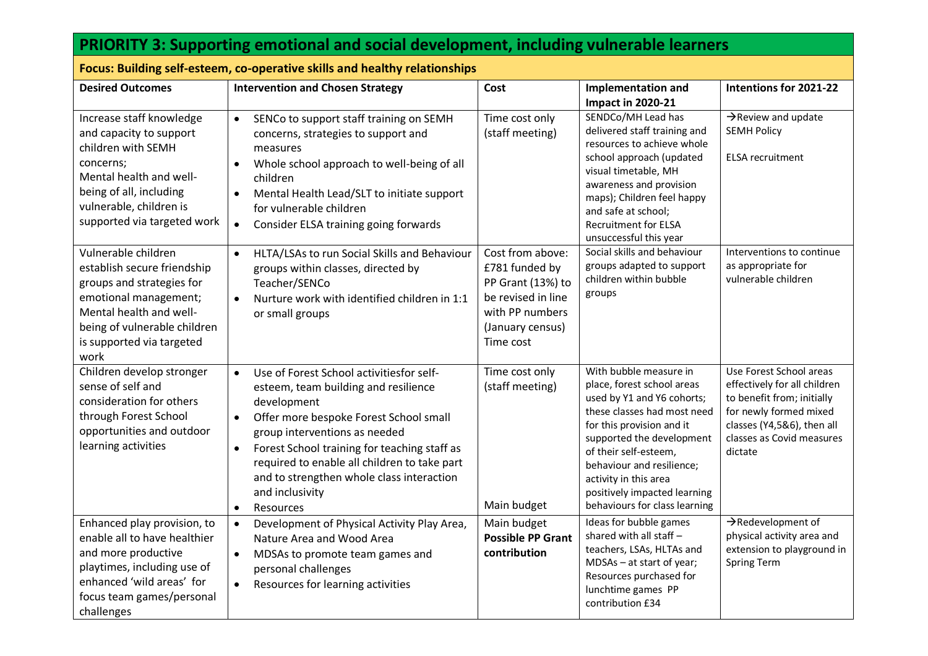| <b>PRIORITY 3: Supporting emotional and social development, including vulnerable learners</b>                                                                                                            |                                                                                                                                                                                                                                                                                                                                                                                                             |                                                                                                                                   |                                                                                                                                                                                                                                                                                                                             |                                                                                                                                                                                       |
|----------------------------------------------------------------------------------------------------------------------------------------------------------------------------------------------------------|-------------------------------------------------------------------------------------------------------------------------------------------------------------------------------------------------------------------------------------------------------------------------------------------------------------------------------------------------------------------------------------------------------------|-----------------------------------------------------------------------------------------------------------------------------------|-----------------------------------------------------------------------------------------------------------------------------------------------------------------------------------------------------------------------------------------------------------------------------------------------------------------------------|---------------------------------------------------------------------------------------------------------------------------------------------------------------------------------------|
| Focus: Building self-esteem, co-operative skills and healthy relationships                                                                                                                               |                                                                                                                                                                                                                                                                                                                                                                                                             |                                                                                                                                   |                                                                                                                                                                                                                                                                                                                             |                                                                                                                                                                                       |
| <b>Desired Outcomes</b>                                                                                                                                                                                  | <b>Intervention and Chosen Strategy</b>                                                                                                                                                                                                                                                                                                                                                                     | Cost                                                                                                                              | <b>Implementation and</b><br><b>Impact in 2020-21</b>                                                                                                                                                                                                                                                                       | Intentions for 2021-22                                                                                                                                                                |
| Increase staff knowledge<br>and capacity to support<br>children with SEMH<br>concerns;<br>Mental health and well-<br>being of all, including<br>vulnerable, children is<br>supported via targeted work   | SENCo to support staff training on SEMH<br>$\bullet$<br>concerns, strategies to support and<br>measures<br>Whole school approach to well-being of all<br>children<br>Mental Health Lead/SLT to initiate support<br>$\bullet$<br>for vulnerable children<br>Consider ELSA training going forwards<br>$\bullet$                                                                                               | Time cost only<br>(staff meeting)                                                                                                 | SENDCo/MH Lead has<br>delivered staff training and<br>resources to achieve whole<br>school approach (updated<br>visual timetable, MH<br>awareness and provision<br>maps); Children feel happy<br>and safe at school;<br><b>Recruitment for ELSA</b><br>unsuccessful this year                                               | $\rightarrow$ Review and update<br><b>SEMH Policy</b><br><b>ELSA recruitment</b>                                                                                                      |
| Vulnerable children<br>establish secure friendship<br>groups and strategies for<br>emotional management;<br>Mental health and well-<br>being of vulnerable children<br>is supported via targeted<br>work | HLTA/LSAs to run Social Skills and Behaviour<br>$\bullet$<br>groups within classes, directed by<br>Teacher/SENCo<br>Nurture work with identified children in 1:1<br>$\bullet$<br>or small groups                                                                                                                                                                                                            | Cost from above:<br>£781 funded by<br>PP Grant (13%) to<br>be revised in line<br>with PP numbers<br>(January census)<br>Time cost | Social skills and behaviour<br>groups adapted to support<br>children within bubble<br>groups                                                                                                                                                                                                                                | Interventions to continue<br>as appropriate for<br>vulnerable children                                                                                                                |
| Children develop stronger<br>sense of self and<br>consideration for others<br>through Forest School<br>opportunities and outdoor<br>learning activities                                                  | Use of Forest School activitiesfor self-<br>$\bullet$<br>esteem, team building and resilience<br>development<br>Offer more bespoke Forest School small<br>$\bullet$<br>group interventions as needed<br>Forest School training for teaching staff as<br>$\bullet$<br>required to enable all children to take part<br>and to strengthen whole class interaction<br>and inclusivity<br>Resources<br>$\bullet$ | Time cost only<br>(staff meeting)<br>Main budget                                                                                  | With bubble measure in<br>place, forest school areas<br>used by Y1 and Y6 cohorts;<br>these classes had most need<br>for this provision and it<br>supported the development<br>of their self-esteem,<br>behaviour and resilience;<br>activity in this area<br>positively impacted learning<br>behaviours for class learning | Use Forest School areas<br>effectively for all children<br>to benefit from; initially<br>for newly formed mixed<br>classes (Y4,5&6), then all<br>classes as Covid measures<br>dictate |
| Enhanced play provision, to<br>enable all to have healthier<br>and more productive<br>playtimes, including use of<br>enhanced 'wild areas' for<br>focus team games/personal<br>challenges                | Development of Physical Activity Play Area,<br>$\bullet$<br>Nature Area and Wood Area<br>MDSAs to promote team games and<br>$\bullet$<br>personal challenges<br>Resources for learning activities<br>$\bullet$                                                                                                                                                                                              | Main budget<br><b>Possible PP Grant</b><br>contribution                                                                           | Ideas for bubble games<br>shared with all staff -<br>teachers, LSAs, HLTAs and<br>MDSAs - at start of year;<br>Resources purchased for<br>lunchtime games PP<br>contribution £34                                                                                                                                            | $\rightarrow$ Redevelopment of<br>physical activity area and<br>extension to playground in<br>Spring Term                                                                             |